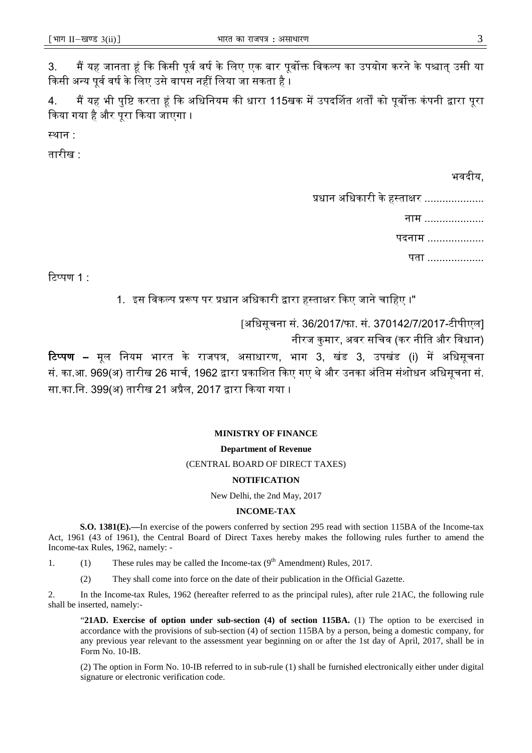#### **MINISTRY OF FINANCE**

#### **Department of Revenue**

# (CENTRAL BOARD OF DIRECT TAXES)

# **NOTIFICATION**

New Delhi, the 2nd May, 2017

# **INCOME-TAX**

**S.O. 1381(E).—**In exercise of the powers conferred by section 295 read with section 115BA of the Income-tax Act, 1961 (43 of 1961), the Central Board of Direct Taxes hereby makes the following rules further to amend the Income-tax Rules, 1962, namely: -

1. (1) These rules may be called the Income-tax  $(9<sup>th</sup>$  Amendment) Rules, 2017.

(2) They shall come into force on the date of their publication in the Official Gazette.

2. In the Income-tax Rules, 1962 (hereafter referred to as the principal rules), after rule 21AC, the following rule shall be inserted, namely:-

"**21AD. Exercise of option under sub-section (4) of section 115BA.** (1) The option to be exercised in accordance with the provisions of sub-section (4) of section 115BA by a person, being a domestic company, for any previous year relevant to the assessment year beginning on or after the 1st day of April, 2017, shall be in Form No. 10-IB.

(2) The option in Form No. 10-IB referred to in sub-rule (1) shall be furnished electronically either under digital signature or electronic verification code.